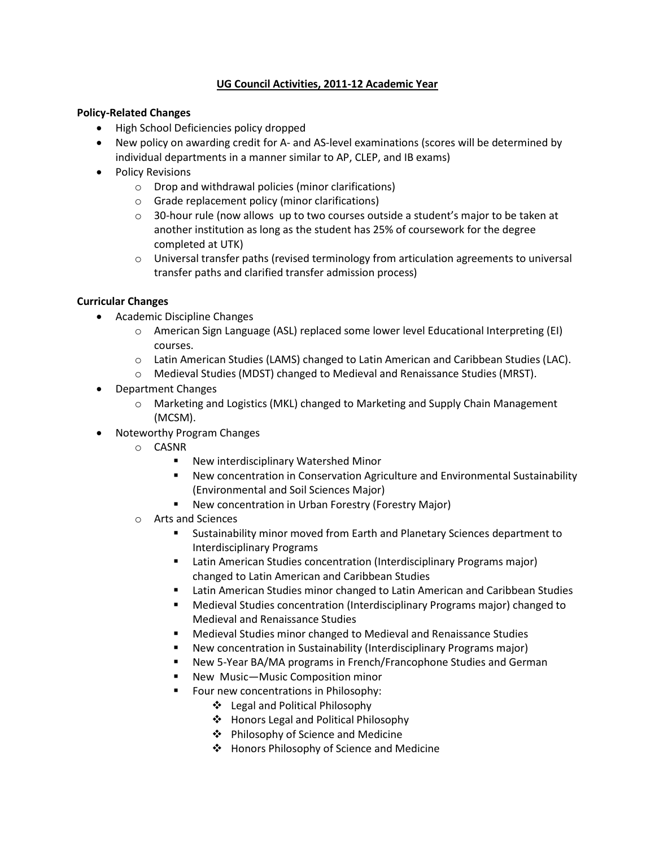# **UG Council Activities, 2011-12 Academic Year**

### **Policy-Related Changes**

- High School Deficiencies policy dropped
- New policy on awarding credit for A- and AS-level examinations (scores will be determined by individual departments in a manner similar to AP, CLEP, and IB exams)
- Policy Revisions
	- o Drop and withdrawal policies (minor clarifications)
	- o Grade replacement policy (minor clarifications)
	- $\circ$  30-hour rule (now allows up to two courses outside a student's major to be taken at another institution as long as the student has 25% of coursework for the degree completed at UTK)
	- o Universal transfer paths (revised terminology from articulation agreements to universal transfer paths and clarified transfer admission process)

#### **Curricular Changes**

- Academic Discipline Changes
	- o American Sign Language (ASL) replaced some lower level Educational Interpreting (EI) courses.
	- o Latin American Studies (LAMS) changed to Latin American and Caribbean Studies (LAC).
	- o Medieval Studies (MDST) changed to Medieval and Renaissance Studies (MRST).
- Department Changes
	- o Marketing and Logistics (MKL) changed to Marketing and Supply Chain Management (MCSM).
- Noteworthy Program Changes
	- o CASNR
		- New interdisciplinary Watershed Minor
		- New concentration in Conservation Agriculture and Environmental Sustainability (Environmental and Soil Sciences Major)
		- New concentration in Urban Forestry (Forestry Major)
	- o Arts and Sciences
		- Sustainability minor moved from Earth and Planetary Sciences department to Interdisciplinary Programs
		- Latin American Studies concentration (Interdisciplinary Programs major) changed to Latin American and Caribbean Studies
		- Latin American Studies minor changed to Latin American and Caribbean Studies
		- Medieval Studies concentration (Interdisciplinary Programs major) changed to Medieval and Renaissance Studies
		- Medieval Studies minor changed to Medieval and Renaissance Studies
		- New concentration in Sustainability (Interdisciplinary Programs major)
		- New 5-Year BA/MA programs in French/Francophone Studies and German
		- New Music—Music Composition minor
		- **Four new concentrations in Philosophy:** 
			- Legal and Political Philosophy
			- Honors Legal and Political Philosophy
			- Philosophy of Science and Medicine
			- Honors Philosophy of Science and Medicine